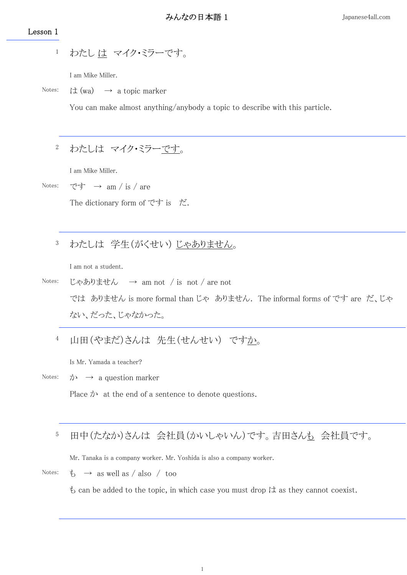## Lesson 1

わたし は マイク・ミラーです。 1

I am Mike Miller.

Notes: は  $(wa) \rightarrow a \text{ topic marker}$ 

You can make almost anything/anybody a topic to describe with this particle.

#### わたしは マイク・ミラーです。 2

I am Mike Miller.

Notes: です  $\rightarrow$  am / is / are

The dictionary form of です is だ.

#### わたしは 学生(がくせい) じゃありません。 3

I am not a student.

Notes: じゃありません → am not / is not / are not では ありません is more formal than じゃ ありません. The informal forms of です are だ、じゃ ない、だった、じゃなかった。

山田(やまだ)さんは 先生(せんせい) ですか。 4

Is Mr. Yamada a teacher?

## Notes:  $\phi \rightarrow$  a question marker

Place  $\phi$  at the end of a sentence to denote questions.

### 田中(たなか)さんは 会社員(かいしゃいん)です。吉田さんも 会社員です。 5

Mr. Tanaka is a company worker. Mr. Yoshida is also a company worker.

Notes:  $\qquad \qquad \& \qquad \rightarrow \text{ as well as } / \text{ also } / \text{ too}$ 

 $\ddot{\epsilon}$  can be added to the topic, in which case you must drop  $\ddot{\epsilon}$  as they cannot coexist.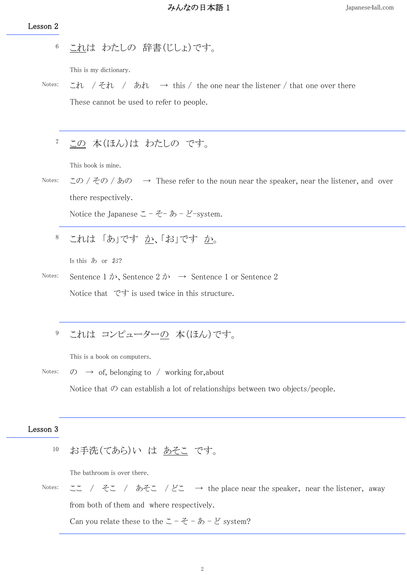これは わたしの 辞書(じしょ)です。 6

This is my dictionary.

Notes: これ / それ / あれ  $\rightarrow$  this / the one near the listener / that one over there These cannot be used to refer to people.

この 本(ほん)は わたしの です。 7

This book is mine.

Notes:  $\zeta \circ \zeta$  /  $\zeta \circ \zeta$  /  $\zeta$  /  $\zeta$  /  $\zeta$  / These refer to the noun near the speaker, near the listener, and over there respectively.

Notice the Japanese  $\subset -\check{\mathcal{Z}}-\check{\mathcal{D}}-\check{\mathcal{E}}$ -system.

これは 「あ」です か、「お」です か。 8

Is this あ or お?

Notes: Sentence 1  $\phi$ , Sentence 2  $\phi$   $\rightarrow$  Sentence 1 or Sentence 2 Notice that です is used twice in this structure.

これは コンピューターの 本(ほん)です。 9

This is a book on computers.

Notes:  $\oslash \rightarrow$  of, belonging to / working for, about

Notice that  $\mathcal D$  can establish a lot of relationships between two objects/people.

## Lesson 3

## お手洗(てあら)い は あそこ です。 10

The bathroom is over there.

Notes: ここ / そこ / あそこ / どこ → the place near the speaker, near the listener, away from both of them and where respectively.

Can you relate these to the  $\subset -e \div -e \times -e \times -e$  system?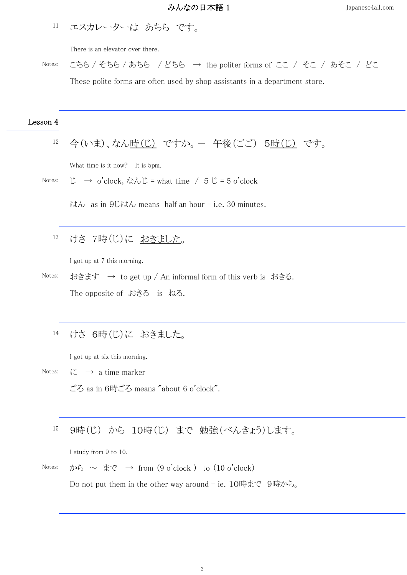エスカレーターは あちら です。 11

There is an elevator over there.

Notes: こちら / そちら / あちら / どちら → the politer forms of ここ / そこ / あそこ / どこ These polite forms are often used by shop assistants in a department store.

## Lesson 4

今(いま)、なん時(じ) ですか。- 午後(ごご) 5時(じ) です。 12

What time is it now?  $-$  It is 5pm.

Notes:  $\ddot{\text{C}} \rightarrow \text{o'clock}$ , なんじ = what time /  $5 \ddot{\text{C}} = 5 \text{o'clock}$ 

 $\forall$  dx as in 9じはん means half an hour – i.e. 30 minutes.

けさ 7時(じ)に おきました。 13

I got up at 7 this morning.

- Notes: おきます  $\rightarrow$  to get up / An informal form of this verb is おきる. The opposite of おきる is ねる.
	- けさ 6時(じ)に おきました。 14

I got up at six this morning.

- Notes:  $\downarrow \mathbb{Z} \rightarrow$  a time marker ごろ as in 6時ごろ means "about 6 o'clock".
	- 9時(じ) から 10時(じ) まで 勉強(べんきょう)します。 15

I study from 9 to 10.

Notes: から ~ まで → from  $(9 \text{ o'clock})$  to  $(10 \text{ o'clock})$ 

Do not put them in the other way around - ie. 10時まで 9時から。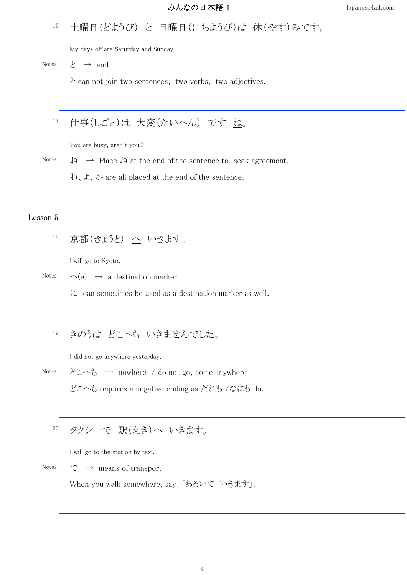### 土曜日(どようび) と 日曜日(にちようび)は 休(やす)みです。 16

My days off are Saturday and Sunday.

Notes:  $\xi \rightarrow$  and

と can not join two sentences, two verbs, two adjectives.

## 仕事(しごと)は 大変(たいへん) です ね。 17

You are busy, aren't you?

Notes:  $\phi$   $\rightarrow$  Place  $\phi$  at the end of the sentence to seek agreement.

ね、よ、か are all placed at the end of the sentence.

## Lesson 5

京都(きょうと) へ いきます。 18

I will go to Kyoto.

Notes:  $\sim$  (e)  $\rightarrow$  a destination marker

 $\mathcal{K}$  can sometimes be used as a destination marker as well.

#### きのうは どこへも いきませんでした。 19

I did not go anywhere yesterday.

Notes: どこへも → nowhere / do not go, come anywhere どこへも requires a negative ending as だれも /なにも do.

#### タクシーで 駅(えき)へ いきます。 20

I will go to the station by taxi.

Notes:  $\vec{\mathcal{C}} \rightarrow$  means of transport

When you walk somewhere, say 「あるいて いきます」.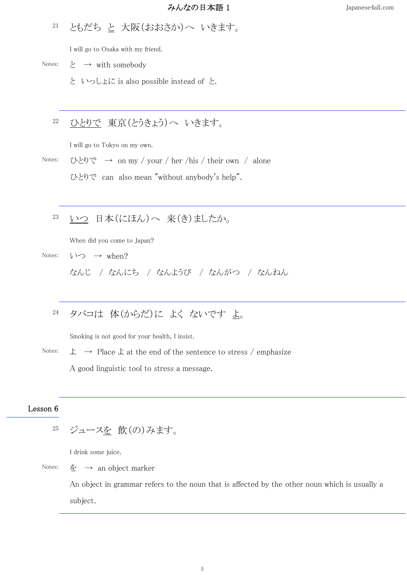#### ともだち と 大阪(おおさか)へ いきます。 21

I will go to Osaka with my friend.

Notes:  $\rightarrow$  with somebody

と いっしょに is also possible instead of と.

#### ひとりで 東京(とうきょう)へ いきます。 22

I will go to Tokyo on my own.

Notes:  $\mathcal{D} \in \mathcal{D} \subset \mathcal{D}$  on my / your / her /his / their own / alone ひとりで can also mean "without anybody's help".

いつ 日本(にほん)へ 来(き)ましたか。 23

When did you come to Japan?

Notes:  $V \supset \neg$  when?

なんじ / なんにち / なんようび / なんがつ / なんねん

## タバコは 体(からだ)に よく ないです よ。 24

Smoking is not good for your health, I insist.

Notes:  $\downarrow \rightarrow$  Place  $\downarrow$  at the end of the sentence to stress / emphasize A good linguistic tool to stress a message.

## Lesson 6

ジュースを 飲(の)みます。 25

I drink some juice.

Notes:  $\dot{\mathcal{F}} \rightarrow$  an object marker

An object in grammar refers to the noun that is affected by the other noun which is usually a subject.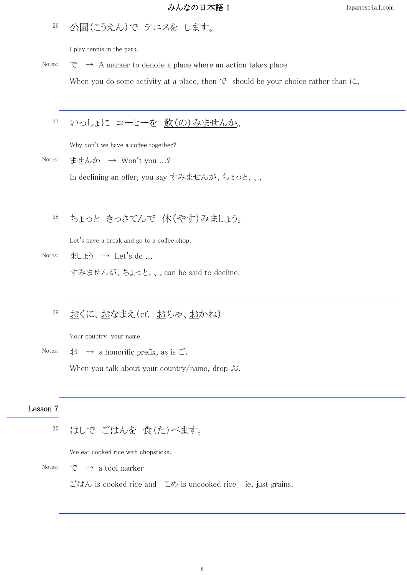## 公園(こうえん)で テニスを します。 26

I play tennis in the park.

Notes:  $\vec{C} \rightarrow A$  marker to denote a place where an action takes place When you do some activity at a place, then  $\mathfrak{C}$  should be your choice rather than  $\mathfrak{C}$ .

#### いっしょに コーヒーを 飲(の)みませんか。 27

Why don't we have a coffee together?

Notes: ませんか → Won't you ...?

In declining an offer, you say すみませんが、ちょっと、、、

#### ちょっと きっさてんで 休(やす)みましょう。 28

Let's have a break and go to a coffee shop.

Notes: ましょう → Let's do ...

すみませんが、ちょっと、、、can be said to decline.

### おくに、おなまえ(cf. おちゃ、おかね) 29

Your country, your name

Notes:  $\sharp \mathfrak{z} \to \mathfrak{a}$  honorific prefix, as is  $\mathfrak{S}$ . When you talk about your country/name, drop お.

## Lesson 7

はしで ごはんを 食(た)べます。 30

We eat cooked rice with chopsticks.

Notes:  $\mathcal{C} \rightarrow$  a tool marker

ごはん is cooked rice and こめ is uncooked rice - ie. just grains.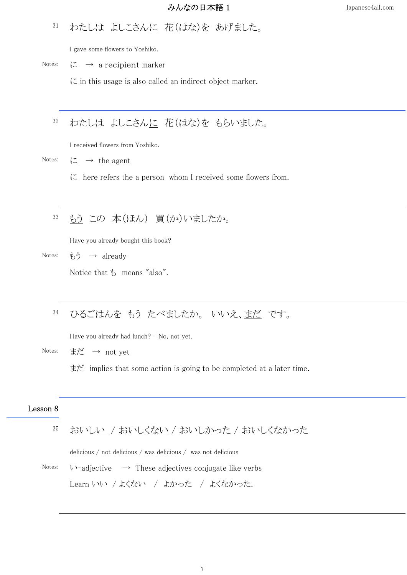## わたしは よしこさんに 花(はな)を あげました。 31

I gave some flowers to Yoshiko.

Notes:  $\mathcal{K} \rightarrow$  a recipient marker

 $\zeta$  in this usage is also called an indirect object marker.

## わたしは よしこさんに 花(はな)を もらいました。 32

I received flowers from Yoshiko.

Notes:  $\zeta \to \text{the agent}$ 

 $\mathcal{C}$  here refers the a person whom I received some flowers from.

### もう この 本(ほん) 買(か)いましたか。 33

Have you already bought this book?

Notes:  $\check{\mathfrak{b}}\check{\mathfrak{I}} \to \text{already}$ 

Notice that  $\ddagger$  means "also".

## ひるごはんを もう たべましたか。 いいえ、まだ です。 34

Have you already had lunch? - No, not yet.

Notes: まだ → not yet

まだ implies that some action is going to be completed at a later time.

# Lesson 8

|  |  | 35 おいしい / おいしくない / おいしかった / おいしくなかった |
|--|--|--------------------------------------|
|  |  |                                      |

delicious / not delicious / was delicious / was not delicious

Notes:  $\downarrow$   $\rightarrow$   $\uparrow$   $\downarrow$   $\rightarrow$   $\downarrow$   $\uparrow$   $\downarrow$   $\uparrow$   $\downarrow$   $\downarrow$   $\downarrow$   $\downarrow$   $\downarrow$   $\downarrow$   $\downarrow$   $\downarrow$   $\downarrow$   $\downarrow$   $\downarrow$   $\downarrow$   $\downarrow$   $\downarrow$   $\downarrow$   $\downarrow$   $\downarrow$   $\downarrow$   $\downarrow$   $\downarrow$   $\downarrow$   $\downarrow$   $\downarrow$   $\downarrow$   $\downarrow$   $\downarrow$   $\downarrow$  Learn いい / よくない / よかった / よくなかった.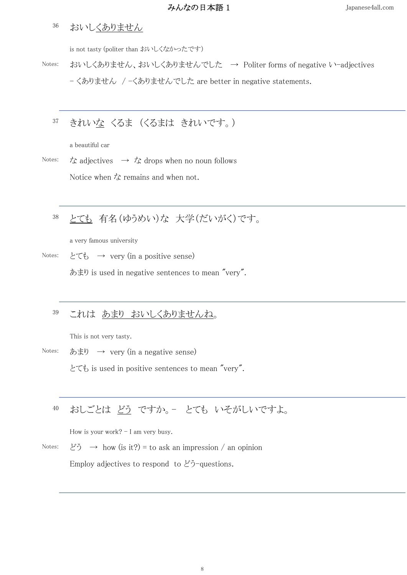#### おいしくありません 36

is not tasty (politer than おいしくなかったです)

Notes: おいしくありません、おいしくありませんでした → Politer forms of negative い-adjectives - くありません / -くありませんでした are better in negative statements.

#### きれいな くるま (くるまは きれいです。) 37

a beautiful car

Notes:  $\dot{\mathcal{L}}$  adjectives  $\rightarrow \dot{\mathcal{L}}$  drops when no noun follows Notice when  $\lambda$  remains and when not.

### とても 有名(ゆうめい)な 大学(だいがく)です。 38

a very famous university

Notes:  $\angle \mathcal{L} \diamond \rightarrow \text{very (in a positive sense)}$ 

あまり is used in negative sentences to mean "very".

#### これは あまり おいしくありませんね。 39

This is not very tasty.

Notes: あまり → very (in a negative sense)

とても is used in positive sentences to mean "very".

## おしごとは どう ですか。- とても いそがしいですよ。 40

How is your work?  $-$  I am very busy.

Notes:  $\forall \tilde{z} \rightarrow \text{how}$  (is it?) = to ask an impression / an opinion

Employ adjectives to respond to  $\mathcal{E}$ う-questions.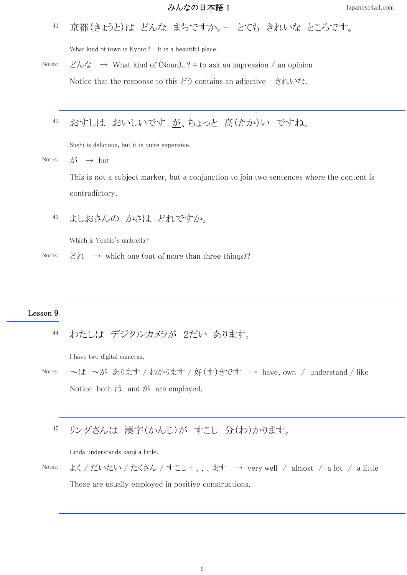京都(きょうと)は どんな まちですか。- とても きれいな ところです。 41

What kind of town is Kyoto? - It is a beautiful place.

Notes:  $\cancel{\xi}\wedge\cancel{\xi} \rightarrow$  What kind of (Noun)..? = to ask an impression / an opinion

Notice that the response to this どう contains an adjective - きれいな.

## おすしは おいしいです が、ちょっと 高(たか)い ですね。 42

Sushi is delicious, but it is quite expensive.

Notes:  $\vec{\lambda} \rightarrow \text{but}$ 

This is not a subject marker, but a conjunction to join two sentences where the content is contradictory.

### よしおさんの かさは どれですか。 43

Which is Yoshio's umbrella?

Notes:  $\forall \lambda \rightarrow$  which one (out of more than three things)?

## Lesson 9

わたしは デジタルカメラが 2だい あります。 44

I have two digital cameras.

Notes: ~は ~が あります / わかります / 好(す)きです → have, own / understand / like Notice both は and が are employed.

#### リンダさんは 漢字(かんじ)が すこし 分(わ)かります。 45

Linda understands kanji a little.

Notes: よく / だいたい / たくさん / すこし+、、、ます → very well / almost / a lot / a little These are usually employed in positive constructions.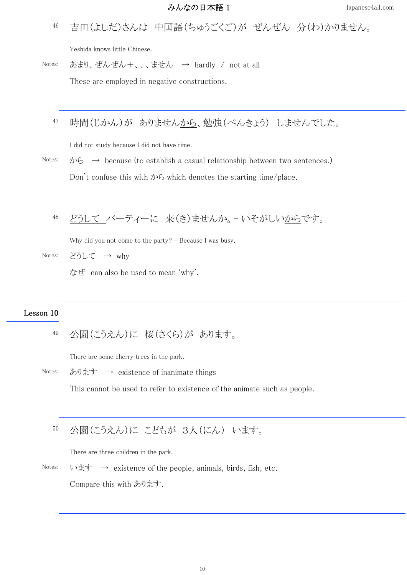吉田(よしだ)さんは 中国語(ちゅうごくご)が ぜんぜん 分(わ)かりません。 46

Yeshida knows little Chinese.

Notes: あまり、ぜんぜん+、、、ません → hardly / not at all

These are employed in negative constructions.

### 時間(じかん)が ありませんから、勉強(べんきょう) しませんでした。 47

I did not study because I did not have time.

Notes: から → because (to establish a casual relationship between two sentences.) Don't confuse this with  $\phi$ <sup>5</sup> which denotes the starting time/place.

## どうして パーティーに 来(き)ませんか。- いそがしいからです。 48

Why did you not come to the party? - Because I was busy.

Notes: どうして  $\rightarrow$  why

なぜ can also be used to mean 'why'.

## Lesson 10

公園(こうえん)に 桜(さくら)が あります。 49

There are some cherry trees in the park.

Notes: あります  $\rightarrow$  existence of inanimate things

This cannot be used to refer to existence of the animate such as people.

#### 公園(こうえん)に こどもが 3人(にん) います。 50

There are three children in the park.

Notes: います  $\rightarrow$  existence of the people, animals, birds, fish, etc. Compare this with あります.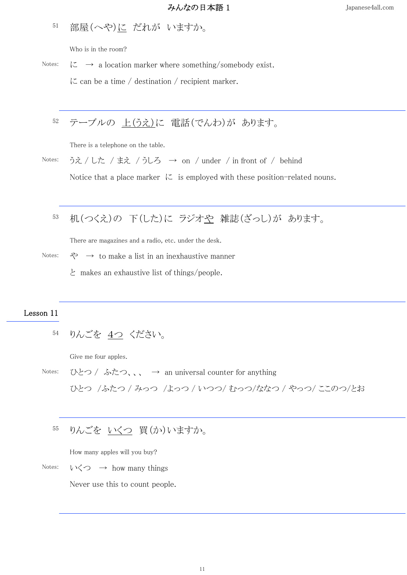### 部屋(へや)に だれが いますか。 51

Who is in the room?

Notes:  $\downarrow$   $\sim$  a location marker where something/somebody exist.  $\mathcal{L}$  can be a time / destination / recipient marker.

## テーブルの 上(うえ)に 電話(でんわ)が あります。 52

There is a telephone on the table.

Notes: うえ / した / まえ / うしろ → on / under / in front of / behind

Notice that a place marker  $\mathcal{K}$  is employed with these position-related nouns.

## 机(つくえ)の 下(した)に ラジオや 雑誌(ざっし)が あります。 53

There are magazines and a radio, etc. under the desk.

- Notes:  $\Diamond \rightarrow$  to make a list in an inexhaustive manner
	- と makes an exhaustive list of things/people.

## Lesson 11

りんごを 4つ ください。 54

Give me four apples.

Notes: ひとつ / ふたつ、、、 → an universal counter for anything ひとつ /ふたつ / みっつ /よっつ / いつつ/ むっつ/ななつ / やっつ/ ここのつ/とお

#### りんごを いくつ 買(か)いますか。 55

How many apples will you buy?

Notes:  $\forall \zeta$   $\rightarrow$  how many things

Never use this to count people.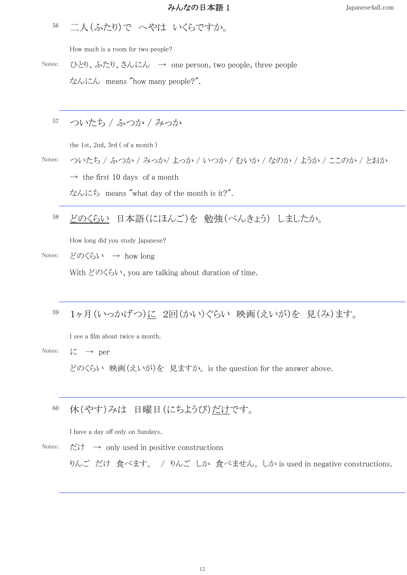二人(ふたり)で へやは いくらですか。 56

How much is a room for two people?

Notes: ひとり、ふたり、さんにん → one person, two people, three people

なんにん means "how many people?".

#### ついたち / ふつか / みっか 57

the 1st, 2nd, 3rd ( of a month )

Notes: ついたち / ふつか / みっか/ よっか / いつか / むいか / なのか / ようか / ここのか / とおか

 $\rightarrow$  the first 10 days of a month

なんにち means "what day of the month is it?".

#### どのくらい 日本語(にほんご)を 勉強(べんきょう) しましたか。 58

How long did you study Japanese?

Notes: どのくらい → how long

With どのくらい、you are talking about duration of time.

## 1ヶ月(いっかげつ)に 2回(かい)ぐらい 映画(えいが)を 見(み)ます。 59

I see a film about twice a month.

## Notes:  $\mathcal{K} \rightarrow \text{per}$

どのくらい 映画(えいが)を 見ますか。 is the question for the answer above.

#### 休(やす)みは 日曜日(にちようび)だけです。 60

I have a day off only on Sundays.

Notes:  $\sharp \dagger \rightarrow$  only used in positive constructions

りんご だけ 食べます。 / りんご しか 食べません。 しか is used in negative constructions.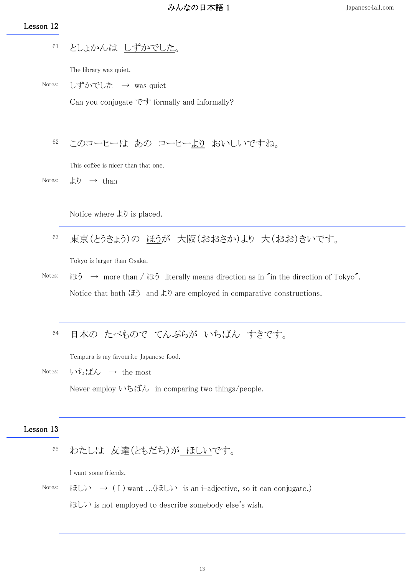# Lesson 12

としょかんは しずかでした。 61

The library was quiet.

Notes: しずかでした → was quiet

Can you conjugate です formally and informally?

このコーヒーは あの コーヒーより おいしいですね。 62

This coffee is nicer than that one.

Notes:  $\downarrow$ り  $\rightarrow$  than

Notice where より is placed.

東京(とうきょう)の ほうが 大阪(おおさか)より 大(おお)きいです。 63

Tokyo is larger than Osaka.

Notes:  $\forall x \in \mathbb{R}$   $\rightarrow$  more than /  $\forall x \in \mathbb{R}$  literally means direction as in "in the direction of Tokyo". Notice that both ほう and より are employed in comparative constructions.

#### 日本の たべもので てんぷらが いちばん すきです。 64

Tempura is my favourite Japanese food.

Notes: いちばん → the most Never employ いちばん in comparing two things/people.

# Lesson 13

#### わたしは 友達(ともだち)が ほしいです。 65

I want some friends.

Notes:  $\forall x \in \mathbb{R}$   $\rightarrow$  (I) want ...( $\forall x \in \mathbb{R}$  is an i-adjective, so it can conjugate.)  $E\cup V$  is not employed to describe somebody else's wish.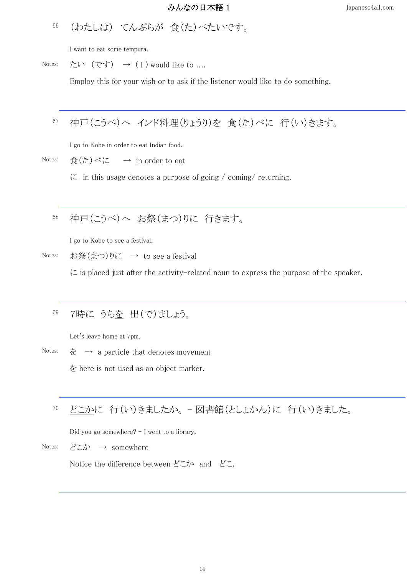(わたしは) てんぷらが 食(た)べたいです。 66

I want to eat some tempura.

Notes: たい (です) → (I) would like to ....

Employ this for your wish or to ask if the listener would like to do something.

## 神戸(こうべ)へ インド料理(りょうり)を 食(た)べに 行(い)きます。 67

I go to Kobe in order to eat Indian food.

Notes: 食(た)べに  $\rightarrow$  in order to eat

に in this usage denotes a purpose of going / coming/ returning.

#### 神戸(こうべ)へ お祭(まつ)りに 行きます。 68

I go to Kobe to see a festival.

Notes: お祭(まつ)りに → to see a festival

 $\mathcal{L}$  is placed just after the activity-related noun to express the purpose of the speaker.

## 7時に うちを 出(で)ましょう。 69

Let's leave home at 7pm.

Notes: を  $\rightarrow$  a particle that denotes movement を here is not used as an object marker.

## どこかに 行(い)きましたか。 - 図書館(としょかん)に 行(い)きました。 70

Did you go somewhere? - I went to a library.

Notes: どこか → somewhere

Notice the difference between どこか and どこ.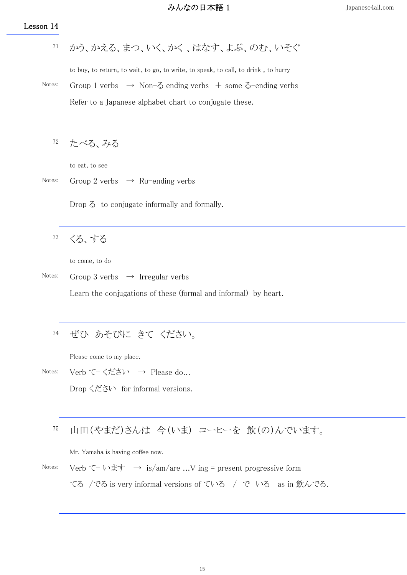かう、かえる、まつ、いく、かく 、はなす、よぶ、のむ、いそぐ 71

to buy, to return, to wait、to go, to write, to speak, to call, to drink , to hurry

Notes: Group 1 verbs  $\rightarrow$  Non- $\delta$  ending verbs + some  $\delta$ -ending verbs Refer to a Japanese alphabet chart to conjugate these.

たべる、みる 72

to eat, to see

Notes: Group 2 verbs  $\rightarrow$  Ru-ending verbs

Drop る to conjugate informally and formally.

くる、する 73

to come, to do

Notes: Group 3 verbs  $\rightarrow$  Irregular verbs

Learn the conjugations of these (formal and informal) by heart.

#### ぜひ あそびに きて ください。 74

Please come to my place.

Notes: Verb て- ください → Please do...

Drop ください for informal versions.

## 山田(やまだ)さんは 今(いま) コーヒーを 飲(の)んでいます。 75

Mr. Yamaha is having coffee now.

Notes: Verb て - います  $\rightarrow$  is/am/are ...V ing = present progressive form てる /でる is very informal versions of ている / で いる as in 飲んでる.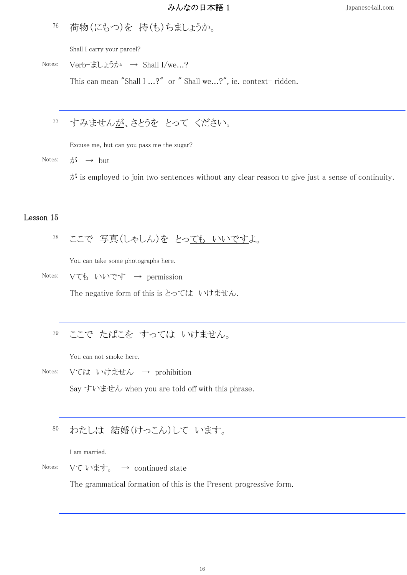### 荷物(にもつ)を 持(も)ちましょうか。 76

Shall I carry your parcel?

Notes: Verb-ましょうか → Shall I/we...?

This can mean "Shall I ...?" or " Shall we...?", ie. context- ridden.

## すみませんが、さとうを とって ください。 77

Excuse me, but can you pass me the sugar?

Notes:  $\vec{\lambda} \rightarrow \text{but}$ 

 $\phi$  is employed to join two sentences without any clear reason to give just a sense of continuity.

## Lesson 15

## ここで 写真(しゃしん)を とっても いいですよ。 78

You can take some photographs here.

Notes: Vても いいです → permission

The negative form of this is とっては いけません.

#### ここで たばこを すっては いけません。 79

You can not smoke here.

Notes: Vては いけません → prohibition

Say すいません when you are told off with this phrase.

#### わたしは 結婚(けっこん)して います。 80

I am married.

Notes:  $V\tau V$ ます。 → continued state

The grammatical formation of this is the Present progressive form.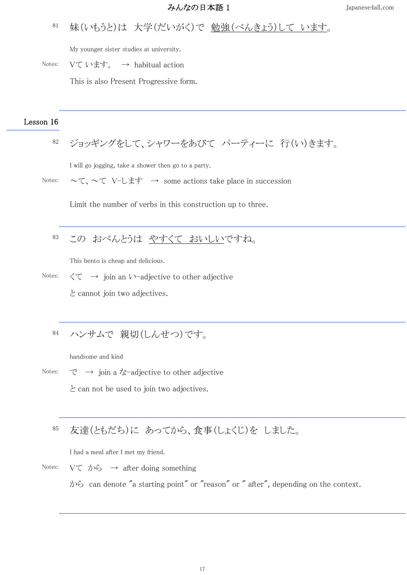## 妹(いもうと)は 大学(だいがく)で 勉強(べんきょう)して います。 81

My younger sister studies at university.

Notes:  $V\mathcal{T} \cup \mathcal{F}$ ,  $\rightarrow$  habitual action

This is also Present Progressive form.

## Lesson 16

ジョッギングをして、シャワーをあびて パーティーに 行(い)きます。 82

I will go jogging, take a shower then go to a party.

Notes:  $\sim \tau$ ,  $\sim \tau$  V-L $\pm \tau$   $\rightarrow$  some actions take place in succession

Limit the number of verbs in this construction up to three.

#### この おべんとうは やすくて おいしいですね。 83

This bento is cheap and delicious.

Notes:  $\langle \tau \rangle$   $\rightarrow$  join an  $\lambda$  -adjective to other adjective と cannot join two adjectives.

#### ハンサムで 親切(しんせつ)です。 84

handsome and kind

Notes:  $\vec{C} \rightarrow$  join a  $\vec{\lambda}$ -adjective to other adjective と can not be used to join two adjectives.

### 友達(ともだち)に あってから、食事(しょくじ)を しました。 85

I had a meal after I met my friend.

Notes:  $V\zeta \rightarrow \mathcal{D}$   $\rightarrow$  after doing something から can denote "a starting point" or "reason" or " after", depending on the context.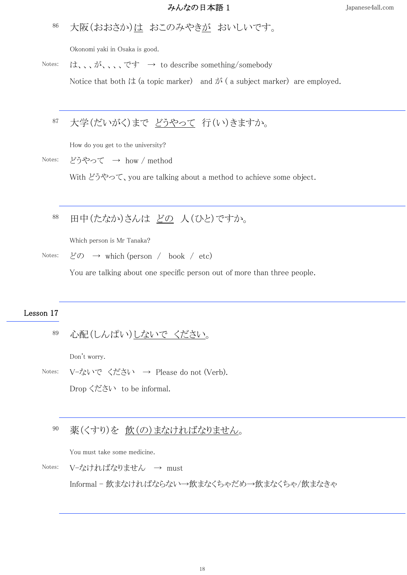### 大阪(おおさか)は おこのみやきが おいしいです。 86

Okonomi yaki in Osaka is good.

Notes: は、、が、、、です → to describe something/somebody

Notice that both  $\forall x$  (a topic marker) and  $\forall x$  (a subject marker) are employed.

## 大学(だいがく)まで どうやって 行(い)きますか。 87

How do you get to the university?

Notes: どうやって → how / method

With どうやって、you are talking about a method to achieve some object.

### 田中(たなか)さんは どの 人(ひと)ですか。 88

Which person is Mr Tanaka?

Notes:  $\cancel{\text{C}}$   $\odot$   $\rightarrow$  which (person / book / etc)

You are talking about one specific person out of more than three people.

# Lesson 17

心配(しんぱい)しないで ください。 89

Don't worry.

Notes: V-ないで ください → Please do not (Verb).

Drop ください to be informal.

#### 薬(くすり)を 飲(の)まなければなりません。 90

You must take some medicine.

Notes: V-なければなりません → must

Informal - 飲まなければならない→飲まなくちゃだめ→飲まなくちゃ/飲まなきゃ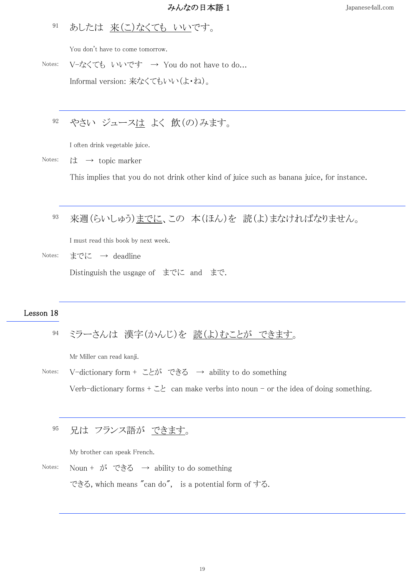### あしたは 来(こ)なくても いいです。 91

You don't have to come tomorrow.

Notes: V-なくても いいです → You do not have to do... Informal version: 来なくてもいい(よ・ね)。

## やさい ジュースは よく 飲(の)みます。 92

I often drink vegetable juice.

Notes:  $\sharp \downarrow \rightarrow$  topic marker

This implies that you do not drink other kind of juice such as banana juice, for instance.

### 来週(らいしゅう)までに、この 本(ほん)を 読(よ)まなければなりません。 93

I must read this book by next week.

Notes: までに → deadline

Distinguish the usgage of までに and まで.

## Lesson 18

ミラーさんは 漢字(かんじ)を 読(よ)むことが できます。 94

Mr Miller can read kanji.

Notes: V-dictionary form + ことが できる → ability to do something Verb-dictionary forms  $+ \leq \geq$  can make verbs into noun - or the idea of doing something.

#### 兄は フランス語が できます。 95

My brother can speak French.

Notes: Noun + が できる → ability to do something

できる, which means "can do", is a potential form of する.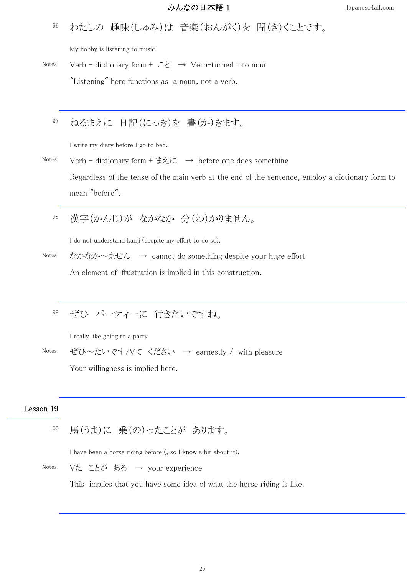わたしの 趣味(しゅみ)は 音楽(おんがく)を 聞(き)くことです。 96

My hobby is listening to music.

Notes: Verb - dictionary form +  $\Sigma$   $\rightarrow$  Verb-turned into noun

"Listening" here functions as a noun, not a verb.

### ねるまえに 日記(にっき)を 書(か)きます。 97

I write my diary before I go to bed.

Notes: Verb - dictionary form + まえに  $\rightarrow$  before one does something Regardless of the tense of the main verb at the end of the sentence, employ a dictionary form to mean "before".

漢字(かんじ)が なかなか 分(わ)かりません。 98

I do not understand kanji (despite my effort to do so).

Notes: なかなか~ません → cannot do something despite your huge effort An element of frustration is implied in this construction.

## ぜひ パーティーに 行きたいですね。 99

I really like going to a party

Notes: ぜひ~たいです/Vて ください → earnestly / with pleasure

Your willingness is implied here.

# Lesson 19

馬(うま)に 乗(の)ったことが あります。 100

I have been a horse riding before (, so I know a bit about it).

Notes: Vた ことが ある → your experience

This implies that you have some idea of what the horse riding is like.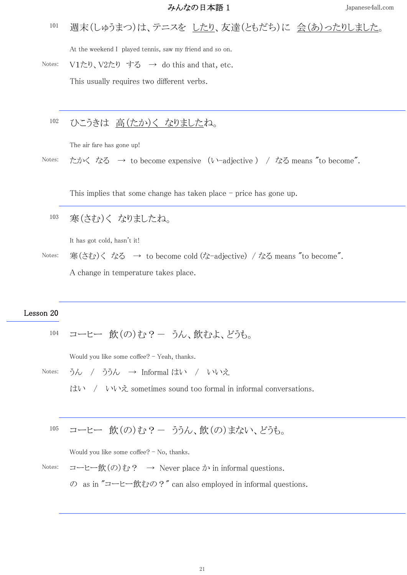### 週末(しゅうまつ)は、テニスを したり、友達(ともだち)に 会(あ)ったりしました。 101

At the weekend I played tennis, saw my friend and so on.

Notes:  $V1\overline{z}$ り、 $V2\overline{z}$ りする → do this and that, etc.

This usually requires two different verbs.

#### ひこうきは 高(たか)く なりましたね。 102

The air fare has gone up!

Notes: たかくなる → to become expensive (い-adjective) / なる means "to become".

This implies that some change has taken place – price has gone up.

寒(さむ)く なりましたね。 103

It has got cold, hasn't it!

Notes: 寒(さむ)く なる → to become cold (な-adjective) / なる means "to become". A change in temperature takes place.

## Lesson 20

コーヒー 飲(の)む?- うん、飲むよ、どうも。 104

Would you like some coffee? - Yeah, thanks.

Notes: うん / ううん → Informal はい / いいえ はい / いいえ sometimes sound too formal in informal conversations.

$$
\hspace{2.5cm}
$$

コーヒー 飲(の)む?- ううん、飲(の)まない、どうも。 105

Would you like some coffee? - No, thanks.

Notes: コーヒー飲 $(\emptyset)$ む? → Never place か in informal questions.

の as in "コーヒー飲むの?" can also employed in informal questions.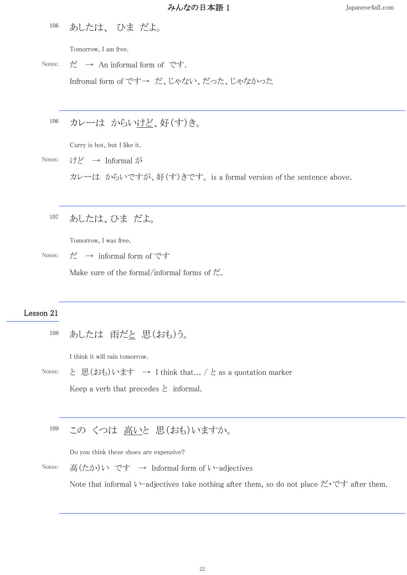あしたは、 ひま だよ。 106

Tomorrow, I am free.

Notes: だ  $\rightarrow$  An informal form of です. Infromal form of です→ だ、じゃない、だった、じゃなかった

#### カレーは からいけど、好(す)き。 106

Curry is hot, but I like it.

Notes: けど → Informal が カレーは からいですが、好(す)きです。 is a formal version of the sentence above.

#### あしたは、ひま だよ。 107

Tomorrow, I was free.

Notes: だ  $\rightarrow$  informal form of です

Make sure of the formal/informal forms of  $\sharp$ .

# Lesson 21

```
あしたは 雨だと 思(おも)う。
108
```
I think it will rain tomorrow.

Notes: と 思(おも)います → I think that... / と as a quotation marker Keep a verb that precedes  $\geq$  informal.

#### この くつは 高いと 思(おも)いますか。 109

Do you think these shoes are expensive?

Notes: 高(たか)い です → Informal form of い-adjectives

Note that informal い-adjectives take nothing after them, so do not place だ・です after them.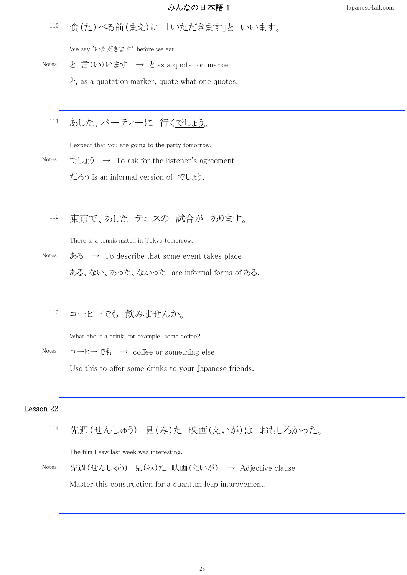食(た)べる前(まえ)に 「いただきます」と いいます。 110

We say 'いただきます' before we eat.

Notes: と 言(い)います → と as a quotation marker

と, as a quotation marker, quote what one quotes.

## あした、パーティーに 行くでしょう。 111

I expect that you are going to the party tomorrow.

Notes: でしょう  $\rightarrow$  To ask for the listener's agreement だろう is an informal version of でしょう.

## 東京で、あした テニスの 試合が あります。 112

There is a tennis match in Tokyo tomorrow.

Notes: ある  $\rightarrow$  To describe that some event takes place ある、ない、あった、なかった are informal forms of ある.

#### コーヒーでも 飲みませんか。 113

What about a drink, for example, some coffee?

Notes: コーヒーでも → coffee or something else

Use this to offer some drinks to your Japanese friends.

## Lesson 22

|  |  | 114 先週(せんしゅう) 見(み)た 映画(えいが)は おもしろかった。 |  |  |  |
|--|--|---------------------------------------|--|--|--|
|--|--|---------------------------------------|--|--|--|

The film I saw last week was interesting.

Notes: 先週(せんしゅう) 見(み)た 映画(えいが) → Adjective clause

Master this construction for a quantum leap improvement.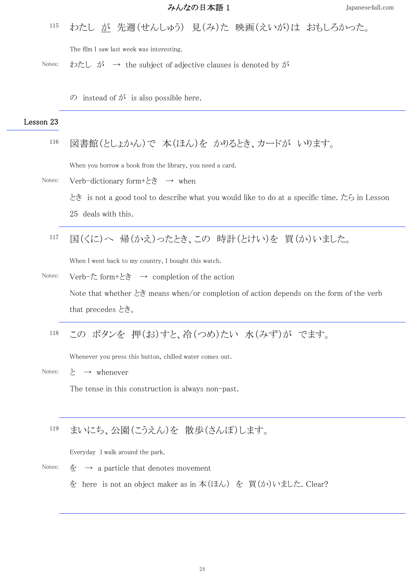わたし が 先週(せんしゅう) 見(み)た 映画(えいが)は おもしろかった。 115

The film I saw last week was interesting.

Notes: わたし が  $\rightarrow$  the subject of adjective clauses is denoted by が

の instead of が is also possible here.

# Lesson 23

図書館(としょかん)で 本(ほん)を かりるとき、カードが いります。 116

When you borrow a book from the library, you need a card.

- Notes: Verb-dictionary form+とき → when とき is not a good tool to describe what you would like to do at a specific time. たら in Lesson 25 deals with this.
	- 国(くに)へ 帰(かえ)ったとき、この 時計(とけい)を 買(か)いました。 117

When I went back to my country, I bought this watch.

- Notes: Verb-た form+とき → completion of the action Note that whether とき means when/or completion of action depends on the form of the verb that precedes とき。
	- この ボタンを 押(お)すと、冷(つめ)たい 水(みず)が でます。 118

Whenever you press this button, chilled water comes out.

Notes:  $\xi \rightarrow$  whenever

The tense in this construction is always non-past.

## まいにち、公園(こうえん)を 散歩(さんぽ)します。 119

Everyday I walk around the park.

- Notes:  $\dot{\mathcal{F}} \rightarrow$  a particle that denotes movement
	- を here is not an object maker as in 本(ほん) を 買(か)いました. Clear?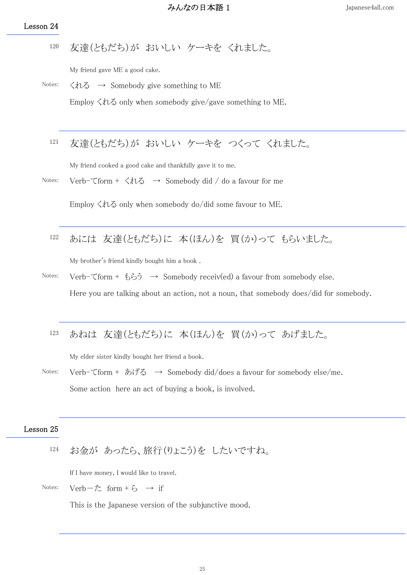友達(ともだち)が おいしい ケーキを くれました。 120

My friend gave ME a good cake.

- Notes:  $\langle h \rangle$   $\rightarrow$  Somebody give something to ME Employ  $\langle \nparallel \mathcal{L} \rangle$  only when somebody give/gave something to ME.
	- 友達(ともだち)が おいしい ケーキを つくって くれました。 121

My friend cooked a good cake and thankfully gave it to me.

Notes: Verb-てform +  $\langle n \rangle \rightarrow$  Somebody did / do a favour for me

Employ くれる only when somebody do/did some favour to ME.

あには 友達(ともだち)に 本(ほん)を 買(か)って もらいました。 122

My brother's friend kindly bought him a book .

- Notes: Verb- $\tau$  form + もらう  $\rightarrow$  Somebody receiv(ed) a favour from somebody else. Here you are talking about an action, not a noun, that somebody does/did for somebody.
	- あねは 友達(ともだち)に 本(ほん)を 買(か)って あげました。 123

My elder sister kindly bought her friend a book.

Notes: Verb-てform + あげる  $\rightarrow$  Somebody did/does a favour for somebody else/me. Some action here an act of buying a book, is involved.

## Lesson 25

お金が あったら、旅行(りょこう)を したいですね。 124

If I have money, I would like to travel.

Notes:  $Verb-\dot{\tau}$  form + ら → if

This is the Japanese version of the subjunctive mood.